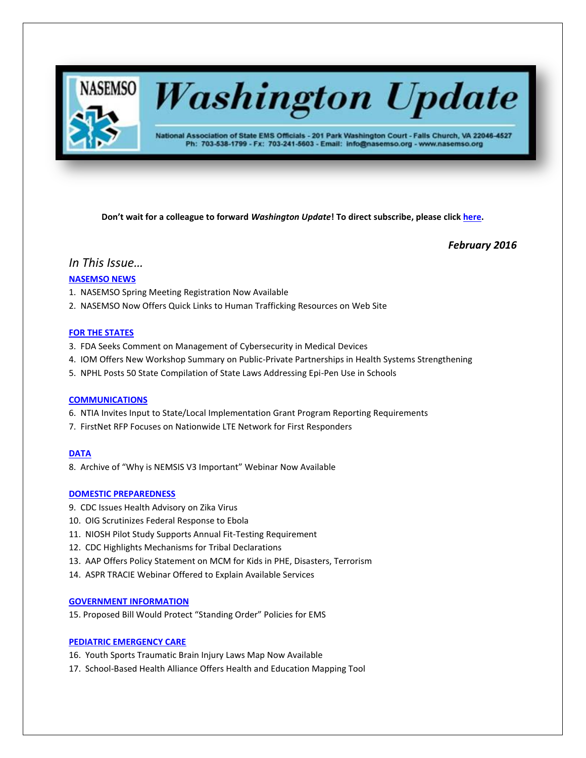

# **Washington Update**

National Association of State EMS Officials - 201 Park Washington Court - Falls Church, VA 22046-4527 Ph: 703-538-1799 - Fx: 703-241-5603 - Email: info@nasemso.org - www.nasemso.org

**Don't wait for a colleague to forward** *Washington Update***! To direct subscribe, please click [here.](http://lists.nasemso.org/read/all_forums/subscribe?name=wu%20)**

*February 2016*

# *In This Issue…*

### **[NASEMSO NEWS](#page-1-0)**

- 1. NASEMSO Spring Meeting Registration Now Available
- 2. NASEMSO Now Offers Quick Links to Human Trafficking Resources on Web Site

#### **[FOR THE STATES](#page-1-1)**

- 3. FDA Seeks Comment on Management of Cybersecurity in Medical Devices
- 4. IOM Offers New Workshop Summary on Public-Private Partnerships in Health Systems Strengthening
- 5. NPHL Posts 50 State Compilation of State Laws Addressing Epi-Pen Use in Schools

#### **[COMMUNICATIONS](#page-2-0)**

- 6. NTIA Invites Input to State/Local Implementation Grant Program Reporting Requirements
- 7. FirstNet RFP Focuses on Nationwide LTE Network for First Responders

#### **[DATA](#page-2-1)**

8. Archive of "Why is NEMSIS V3 Important" Webinar Now Available

#### **[DOMESTIC PREPAREDNESS](#page-3-0)**

- 9. CDC Issues Health Advisory on Zika Virus
- 10. OIG Scrutinizes Federal Response to Ebola
- 11. NIOSH Pilot Study Supports Annual Fit-Testing Requirement
- 12. CDC Highlights Mechanisms for Tribal Declarations
- 13. AAP Offers Policy Statement on MCM for Kids in PHE, Disasters, Terrorism
- 14. ASPR TRACIE Webinar Offered to Explain Available Services

#### **[GOVERNMENT INFORMATION](#page-3-1)**

15. Proposed Bill Would Protect "Standing Order" Policies for EMS

#### **[PEDIATRIC EMERGENCY CARE](#page-5-0)**

- 16. Youth Sports Traumatic Brain Injury Laws Map Now Available
- 17. School-Based Health Alliance Offers Health and Education Mapping Tool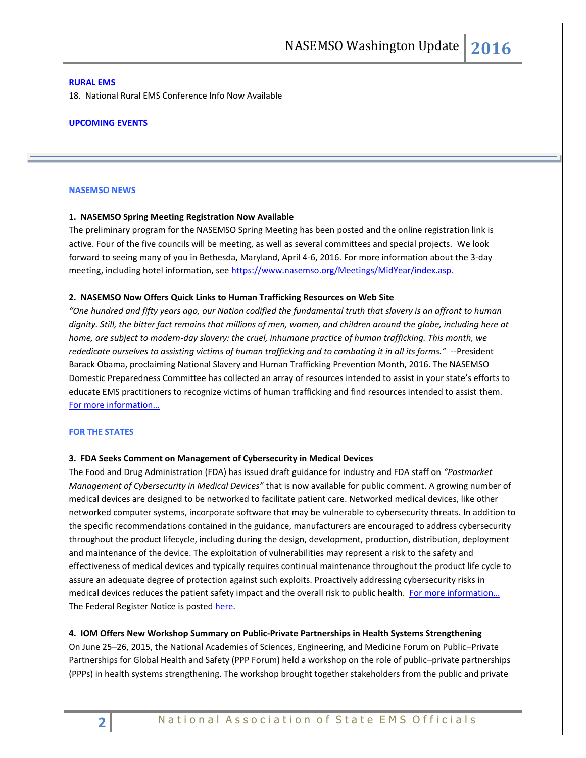#### **[RURAL EMS](#page-5-1)**

18. National Rural EMS Conference Info Now Available

#### **UPCOMING EVENTS**

#### <span id="page-1-0"></span>**NASEMSO NEWS**

#### **1. NASEMSO Spring Meeting Registration Now Available**

The preliminary program for the NASEMSO Spring Meeting has been posted and the online registration link is active. Four of the five councils will be meeting, as well as several committees and special projects. We look forward to seeing many of you in Bethesda, Maryland, April 4-6, 2016. For more information about the 3-day meeting, including hotel information, see [https://www.nasemso.org/Meetings/MidYear/index.asp.](https://www.nasemso.org/Meetings/MidYear/index.asp)

#### **2. NASEMSO Now Offers Quick Links to Human Trafficking Resources on Web Site**

*"One hundred and fifty years ago, our Nation codified the fundamental truth that slavery is an affront to human dignity. Still, the bitter fact remains that millions of men, women, and children around the globe, including here at home, are subject to modern-day slavery: the cruel, inhumane practice of human trafficking. This month, we rededicate ourselves to assisting victims of human trafficking and to combating it in all its forms."* --President Barack Obama, proclaiming National Slavery and Human Trafficking Prevention Month, 2016. The NASEMSO Domestic Preparedness Committee has collected an array of resources intended to assist in your state's efforts to educate EMS practitioners to recognize victims of human trafficking and find resources intended to assist them. [For more information…](https://www.nasemso.org/Projects/DomesticPreparedness/HumanTrafficking.asp)

#### <span id="page-1-1"></span>**FOR THE STATES**

#### **3. FDA Seeks Comment on Management of Cybersecurity in Medical Devices**

The Food and Drug Administration (FDA) has issued draft guidance for industry and FDA staff on *"Postmarket Management of Cybersecurity in Medical Devices"* that is now available for public comment. A growing number of medical devices are designed to be networked to facilitate patient care. Networked medical devices, like other networked computer systems, incorporate software that may be vulnerable to cybersecurity threats. In addition to the specific recommendations contained in the guidance, manufacturers are encouraged to address cybersecurity throughout the product lifecycle, including during the design, development, production, distribution, deployment and maintenance of the device. The exploitation of vulnerabilities may represent a risk to the safety and effectiveness of medical devices and typically requires continual maintenance throughout the product life cycle to assure an adequate degree of protection against such exploits. Proactively addressing cybersecurity risks in medical devices reduces the patient safety impact and the overall risk to public health. For more information... The Federal Register Notice is posted [here.](https://www.gpo.gov/fdsys/pkg/FR-2016-01-22/pdf/2016-01172.pdf)

#### **4. IOM Offers New Workshop Summary on Public-Private Partnerships in Health Systems Strengthening**

On June 25–26, 2015, the National Academies of Sciences, Engineering, and Medicine Forum on Public–Private Partnerships for Global Health and Safety (PPP Forum) held a workshop on the role of public–private partnerships (PPPs) in health systems strengthening. The workshop brought together stakeholders from the public and private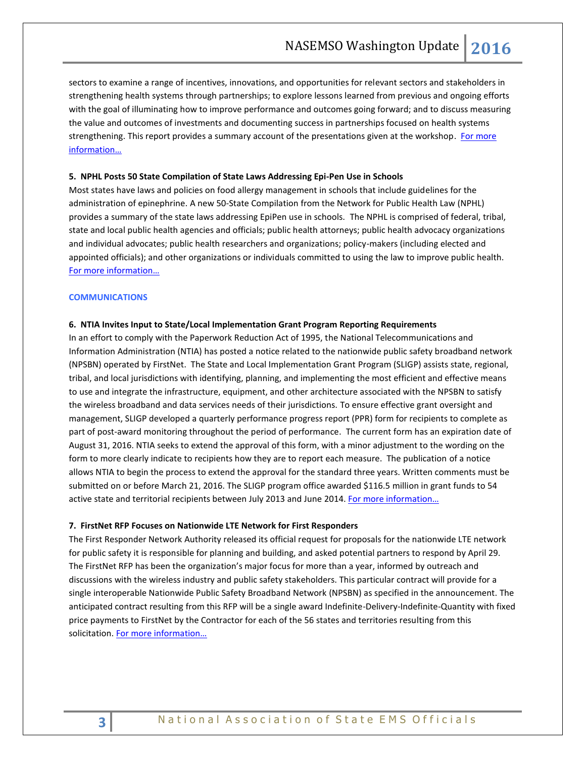sectors to examine a range of incentives, innovations, and opportunities for relevant sectors and stakeholders in strengthening health systems through partnerships; to explore lessons learned from previous and ongoing efforts with the goal of illuminating how to improve performance and outcomes going forward; and to discuss measuring the value and outcomes of investments and documenting success in partnerships focused on health systems strengthening. This report provides a summary account of the presentations given at the workshop. For more [information…](http://iom.nationalacademies.org/Reports/2016/Role-of-PPP-in-Health-Systems-Strengthening.aspx)

#### **5. NPHL Posts 50 State Compilation of State Laws Addressing Epi-Pen Use in Schools**

Most states have laws and policies on food allergy management in schools that include guidelines for the administration of epinephrine. A new 50-State Compilation from the Network for Public Health Law (NPHL) provides a summary of the state laws addressing EpiPen use in schools. The NPHL is comprised of federal, tribal, state and local public health agencies and officials; public health attorneys; public health advocacy organizations and individual advocates; public health researchers and organizations; policy-makers (including elected and appointed officials); and other organizations or individuals committed to using the law to improve public health. [For more information…](https://www.networkforphl.org/resources_collection/2016/01/20/259/resource_food_allergy_policy/https:/www.networkforphl.org/resources_collection/2016/01/20/259/resource_food_allergy_policy/)

#### <span id="page-2-0"></span>**COMMUNICATIONS**

#### **6. NTIA Invites Input to State/Local Implementation Grant Program Reporting Requirements**

In an effort to comply with the Paperwork Reduction Act of 1995, the National Telecommunications and Information Administration (NTIA) has posted a notice related to the nationwide public safety broadband network (NPSBN) operated by FirstNet. The State and Local Implementation Grant Program (SLIGP) assists state, regional, tribal, and local jurisdictions with identifying, planning, and implementing the most efficient and effective means to use and integrate the infrastructure, equipment, and other architecture associated with the NPSBN to satisfy the wireless broadband and data services needs of their jurisdictions. To ensure effective grant oversight and management, SLIGP developed a quarterly performance progress report (PPR) form for recipients to complete as part of post-award monitoring throughout the period of performance. The current form has an expiration date of August 31, 2016. NTIA seeks to extend the approval of this form, with a minor adjustment to the wording on the form to more clearly indicate to recipients how they are to report each measure. The publication of a notice allows NTIA to begin the process to extend the approval for the standard three years. Written comments must be submitted on or before March 21, 2016. The SLIGP program office awarded \$116.5 million in grant funds to 54 active state and territorial recipients between July 2013 and June 2014. For more information...

#### **7. FirstNet RFP Focuses on Nationwide LTE Network for First Responders**

<span id="page-2-1"></span>The First Responder Network Authority released its official request for proposals for the nationwide LTE network for public safety it is responsible for planning and building, and asked potential partners to respond by April 29. The FirstNet RFP has been the organization's major focus for more than a year, informed by outreach and discussions with the wireless industry and public safety stakeholders. This particular contract will provide for a single interoperable Nationwide Public Safety Broadband Network (NPSBN) as specified in the announcement. The anticipated contract resulting from this RFP will be a single award Indefinite-Delivery-Indefinite-Quantity with fixed price payments to FirstNet by the Contractor for each of the 56 states and territories resulting from this solicitation. [For more information…](https://www.fbo.gov/index?s=opportunity&mode=form&id=7806696f4340f16474647ccc57805040&tab=core&tabmode=list&=)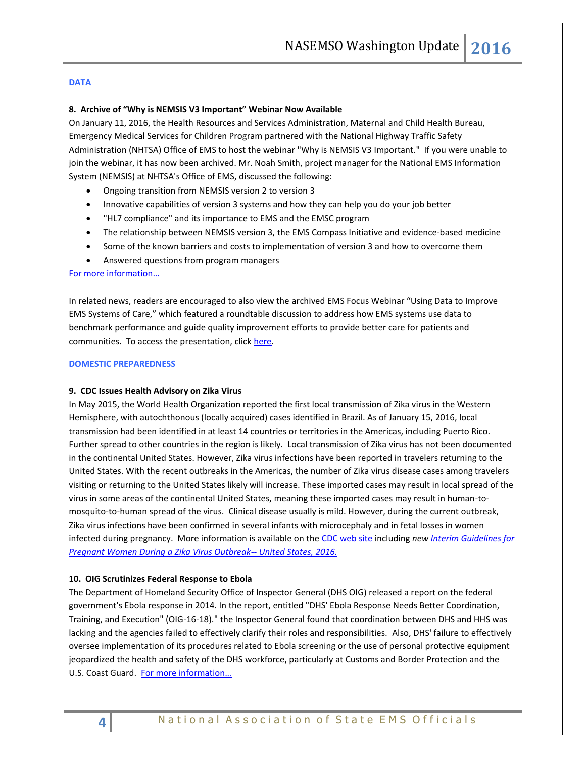#### **DATA**

#### **8. Archive of "Why is NEMSIS V3 Important" Webinar Now Available**

On January 11, 2016, the Health Resources and Services Administration, Maternal and Child Health Bureau, Emergency Medical Services for Children Program partnered with the National Highway Traffic Safety Administration (NHTSA) Office of EMS to host the webinar "Why is NEMSIS V3 Important." If you were unable to join the webinar, it has now been archived. Mr. Noah Smith, project manager for the National EMS Information System (NEMSIS) at NHTSA's Office of EMS, discussed the following:

- Ongoing transition from NEMSIS version 2 to version 3
- Innovative capabilities of version 3 systems and how they can help you do your job better
- "HL7 compliance" and its importance to EMS and the EMSC program
- The relationship between NEMSIS version 3, the EMS Compass Initiative and evidence-based medicine
- Some of the known barriers and costs to implementation of version 3 and how to overcome them
- Answered questions from program managers

#### <span id="page-3-0"></span>[For more information…](https://hrsa.connectsolutions.com/p6zocxmzvlb/?launcher=false&fcsContent=true&pbMode=normal)

In related news, readers are encouraged to also view the archived EMS Focus Webinar "Using Data to Improve EMS Systems of Care," which featured a roundtable discussion to address how EMS systems use data to benchmark performance and guide quality improvement efforts to provide better care for patients and communities. To access the presentation, click [here.](http://www.ems.gov/ems-focus.htm)

#### **DOMESTIC PREPAREDNESS**

#### **9. CDC Issues Health Advisory on Zika Virus**

In May 2015, the World Health Organization reported the first local transmission of Zika virus in the Western Hemisphere, with autochthonous (locally acquired) cases identified in Brazil. As of January 15, 2016, local transmission had been identified in at least 14 countries or territories in the Americas, including Puerto Rico. Further spread to other countries in the region is likely. Local transmission of Zika virus has not been documented in the continental United States. However, Zika virus infections have been reported in travelers returning to the United States. With the recent outbreaks in the Americas, the number of Zika virus disease cases among travelers visiting or returning to the United States likely will increase. These imported cases may result in local spread of the virus in some areas of the continental United States, meaning these imported cases may result in human-tomosquito-to-human spread of the virus. Clinical disease usually is mild. However, during the current outbreak, Zika virus infections have been confirmed in several infants with microcephaly and in fetal losses in women infected during pregnancy. More information is available on the [CDC web site](http://emergency.cdc.gov/han/han00385.asp) including *new [Interim Guidelines for](http://www.cdc.gov/mmwr/volumes/65/wr/mm6502e1er.htm?s_cid=mm6502e1er_e)  [Pregnant Women During a Zika Virus Outbreak--](http://www.cdc.gov/mmwr/volumes/65/wr/mm6502e1er.htm?s_cid=mm6502e1er_e) United States, 2016.*

#### <span id="page-3-1"></span>**10. OIG Scrutinizes Federal Response to Ebola**

The Department of Homeland Security Office of Inspector General (DHS OIG) released a report on the federal government's Ebola response in 2014. In the report, entitled "DHS' Ebola Response Needs Better Coordination, Training, and Execution" (OIG-16-18)." the Inspector General found that coordination between DHS and HHS was lacking and the agencies failed to effectively clarify their roles and responsibilities. Also, DHS' failure to effectively oversee implementation of its procedures related to Ebola screening or the use of personal protective equipment jeopardized the health and safety of the DHS workforce, particularly at Customs and Border Protection and the U.S. Coast Guard. For more information...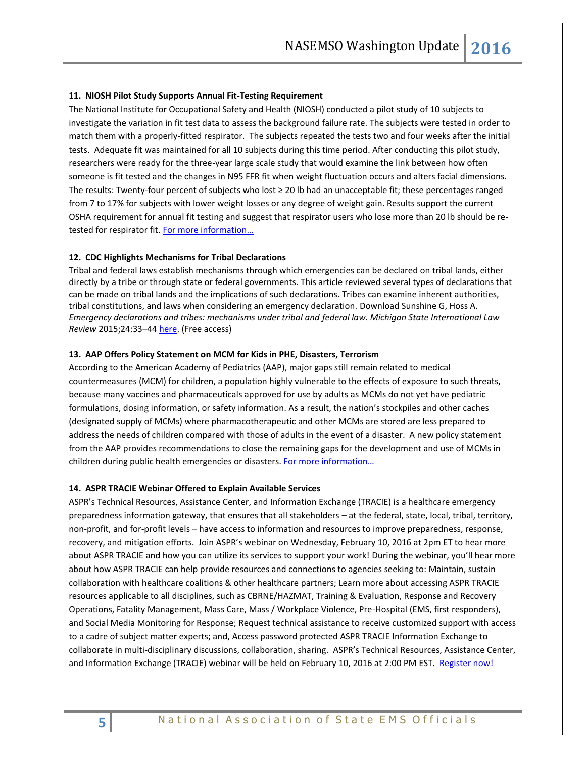#### **11. NIOSH Pilot Study Supports Annual Fit-Testing Requirement**

The National Institute for Occupational Safety and Health (NIOSH) conducted a pilot study of 10 subjects to investigate the variation in fit test data to assess the background failure rate. The subjects were tested in order to match them with a properly-fitted respirator. The subjects repeated the tests two and four weeks after the initial tests. Adequate fit was maintained for all 10 subjects during this time period. After conducting this pilot study, researchers were ready for the three-year large scale study that would examine the link between how often someone is fit tested and the changes in N95 FFR fit when weight fluctuation occurs and alters facial dimensions. The results: Twenty-four percent of subjects who lost ≥ 20 lb had an unacceptable fit; these percentages ranged from 7 to 17% for subjects with lower weight losses or any degree of weight gain. Results support the current OSHA requirement for annual fit testing and suggest that respirator users who lose more than 20 lb should be retested for respirator fit. For more information...

#### **12. CDC Highlights Mechanisms for Tribal Declarations**

Tribal and federal laws establish mechanisms through which emergencies can be declared on tribal lands, either directly by a tribe or through state or federal governments. This article reviewed several types of declarations that can be made on tribal lands and the implications of such declarations. Tribes can examine inherent authorities, tribal constitutions, and laws when considering an emergency declaration. Download Sunshine G, Hoss A. *Emergency declarations and tribes: mechanisms under tribal and federal law. Michigan State International Law Review* 2015;24:33–4[4 here.](http://digitalcommons.law.msu.edu/ilr/vol24/iss1/2/) (Free access)

#### **13. AAP Offers Policy Statement on MCM for Kids in PHE, Disasters, Terrorism**

According to the American Academy of Pediatrics (AAP), major gaps still remain related to medical countermeasures (MCM) for children, a population highly vulnerable to the effects of exposure to such threats, because many vaccines and pharmaceuticals approved for use by adults as MCMs do not yet have pediatric formulations, dosing information, or safety information. As a result, the nation's stockpiles and other caches (designated supply of MCMs) where pharmacotherapeutic and other MCMs are stored are less prepared to address the needs of children compared with those of adults in the event of a disaster. A new policy statement from the AAP provides recommendations to close the remaining gaps for the development and use of MCMs in children during public health emergencies or disasters. [For more information…](http://pediatrics.aappublications.org/content/early/2015/12/31/peds.2015-4273)

#### **14. ASPR TRACIE Webinar Offered to Explain Available Services**

ASPR's Technical Resources, Assistance Center, and Information Exchange (TRACIE) is a healthcare emergency preparedness information gateway, that ensures that all stakeholders – at the federal, state, local, tribal, territory, non-profit, and for-profit levels – have access to information and resources to improve preparedness, response, recovery, and mitigation efforts. Join ASPR's webinar on Wednesday, February 10, 2016 at 2pm ET to hear more about ASPR TRACIE and how you can utilize its services to support your work! During the webinar, you'll hear more about how ASPR TRACIE can help provide resources and connections to agencies seeking to: Maintain, sustain collaboration with healthcare coalitions & other healthcare partners; Learn more about accessing ASPR TRACIE resources applicable to all disciplines, such as CBRNE/HAZMAT, Training & Evaluation, Response and Recovery Operations, Fatality Management, Mass Care, Mass / Workplace Violence, Pre-Hospital (EMS, first responders), and Social Media Monitoring for Response; Request technical assistance to receive customized support with access to a cadre of subject matter experts; and, Access password protected ASPR TRACIE Information Exchange to collaborate in multi-disciplinary discussions, collaboration, sharing. ASPR's Technical Resources, Assistance Center, and Information Exchange (TRACIE) webinar will be held on February 10, 2016 at 2:00 PM EST. [Register now!](https://attendee.gotowebinar.com/register/3043368293231071745)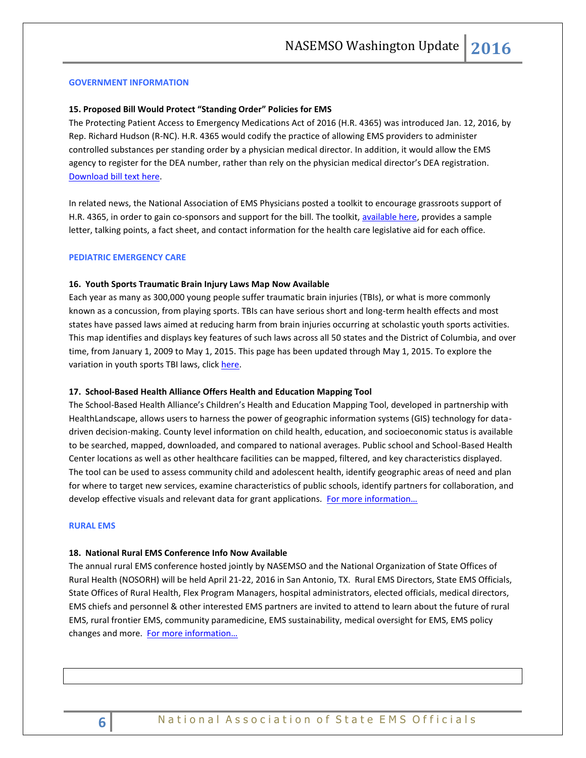#### **GOVERNMENT INFORMATION**

#### **15. Proposed Bill Would Protect "Standing Order" Policies for EMS**

The Protecting Patient Access to Emergency Medications Act of 2016 (H.R. 4365) was introduced Jan. 12, 2016, by Rep. Richard Hudson (R-NC). H.R. 4365 would codify the practice of allowing EMS providers to administer controlled substances per standing order by a physician medical director. In addition, it would allow the EMS agency to register for the DEA number, rather than rely on the physician medical director's DEA registration. [Download bill text here.](https://www.congress.gov/bill/114th-congress/house-bill/4365/)

In related news, the National Association of EMS Physicians posted a toolkit to encourage grassroots support of H.R. 4365, in order to gain co-sponsors and support for the bill. The toolkit, [available here,](http://www.naemsp.org/Pages/Advocates-for-EMS.aspx) provides a sample letter, talking points, a fact sheet, and contact information for the health care legislative aid for each office.

#### <span id="page-5-0"></span>**PEDIATRIC EMERGENCY CARE**

#### **16. Youth Sports Traumatic Brain Injury Laws Map Now Available**

Each year as many as 300,000 young people suffer traumatic brain injuries (TBIs), or what is more commonly known as a concussion, from playing sports. TBIs can have serious short and long-term health effects and most states have passed laws aimed at reducing harm from brain injuries occurring at scholastic youth sports activities. This map identifies and displays key features of such laws across all 50 states and the District of Columbia, and over time, from January 1, 2009 to May 1, 2015. This page has been updated through May 1, 2015. To explore the variation in youth sports TBI laws, click [here.](http://lawatlas.org/query?dataset=sc-reboot)

#### **17. School-Based Health Alliance Offers Health and Education Mapping Tool**

The School-Based Health Alliance's Children's Health and Education Mapping Tool, developed in partnership with HealthLandscape, allows users to harness the power of geographic information systems (GIS) technology for datadriven decision-making. County level information on child health, education, and socioeconomic status is available to be searched, mapped, downloaded, and compared to national averages. Public school and School-Based Health Center locations as well as other healthcare facilities can be mapped, filtered, and key characteristics displayed. The tool can be used to assess community child and adolescent health, identify geographic areas of need and plan for where to target new services, examine characteristics of public schools, identify partners for collaboration, and develop effective visuals and relevant data for grant applications. For more information...

#### <span id="page-5-1"></span>**RURAL EMS**

#### **18. National Rural EMS Conference Info Now Available**

The annual rural EMS conference hosted jointly by NASEMSO and the National Organization of State Offices of Rural Health (NOSORH) will be held April 21-22, 2016 in San Antonio, TX. Rural EMS Directors, State EMS Officials, State Offices of Rural Health, Flex Program Managers, hospital administrators, elected officials, medical directors, EMS chiefs and personnel & other interested EMS partners are invited to attend to learn about the future of rural EMS, rural frontier EMS, community paramedicine, EMS sustainability, medical oversight for EMS, EMS policy changes and more. [For more information…](https://nosorh.org/calendar-events/national-rural-ems-conference/)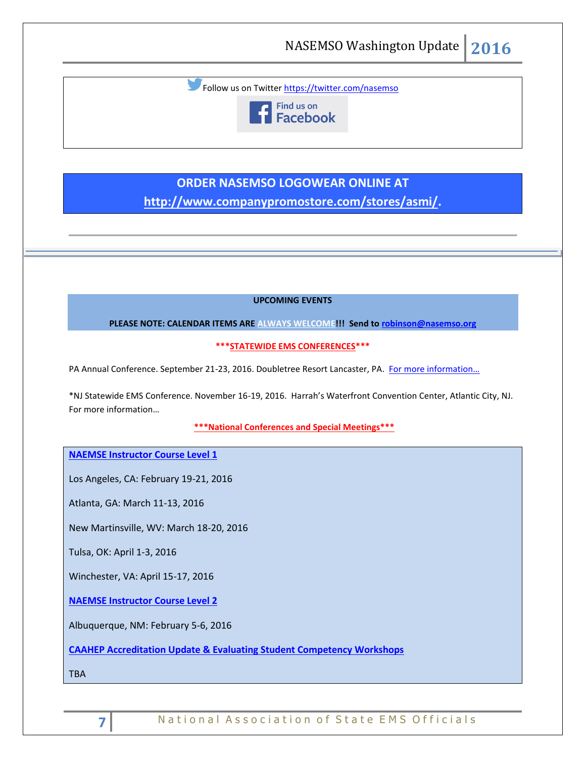Follow us on Twitter<https://twitter.com/nasemso>



# **ORDER NASEMSO LOGOWEAR ONLINE AT**

**[http://www.companypromostore.com/stores/asmi/.](http://www.companypromostore.com/stores/asmi/)**

**UPCOMING EVENTS**

**PLEASE NOTE: CALENDAR ITEMS ARE ALWAYS WELCOME!!! Send t[o robinson@nasemso.org](mailto:robinson@nasemso.org)**

**\*\*\*STATEWIDE EMS CONFERENCES\*\*\***

PA Annual Conference. September 21-23, 2016. Doubletree Resort Lancaster, PA. [For more information…](http://www.pehsc.org/)

\*NJ Statewide EMS Conference. November 16-19, 2016. Harrah's Waterfront Convention Center, Atlantic City, NJ. [For more information…](http://www.njemsconference.com/)

**\*\*\*National Conferences and Special Meetings\*\*\***

**[NAEMSE Instructor Course Level 1](http://naemse.org/?page=LVL1InstructorCourse)**

Los Angeles, CA: February 19-21, 2016

Atlanta, GA: March 11-13, 2016

New Martinsville, WV: March 18-20, 2016

Tulsa, OK: April 1-3, 2016

Winchester, VA: April 15-17, 2016

**[NAEMSE Instructor Course Level 2](http://naemse.org/?page=LVL2InstructorCourse)**

Albuquerque, NM: February 5-6, 2016

**[CAAHEP Accreditation Update & Evaluating Student Competency Workshops](http://naemse.org/?page=coaemsp)**

TBA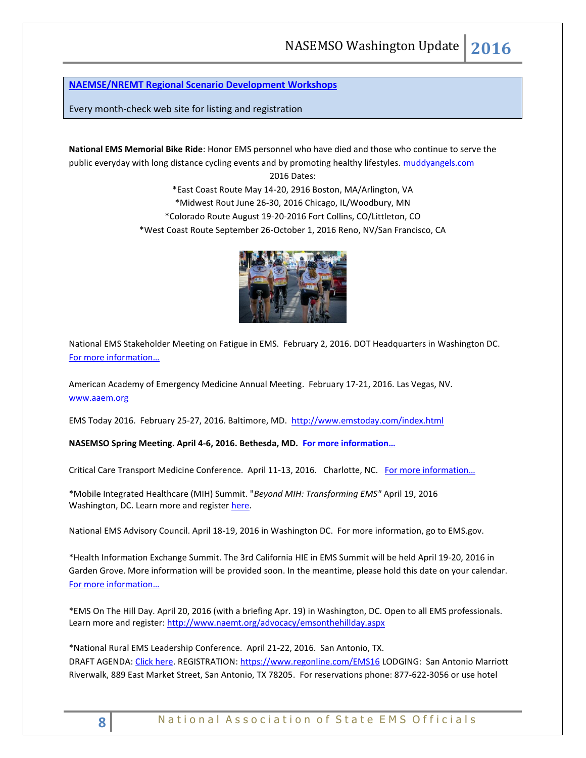## **[NAEMSE/NREMT Regional Scenario Development Workshops](http://naemse.org/?page=nremt)**

Every month-check web site for listing and registration

**National EMS Memorial Bike Ride**: Honor EMS personnel who have died and those who continue to serve the public everyday with long distance cycling events and by promoting healthy lifestyles. [muddyangels.com](http://www.muddyangels.com/)

> 2016 Dates: \*East Coast Route May 14-20, 2916 Boston, MA/Arlington, VA \*Midwest Rout June 26-30, 2016 Chicago, IL/Woodbury, MN \*Colorado Route August 19-20-2016 Fort Collins, CO/Littleton, CO \*West Coast Route September 26-October 1, 2016 Reno, NV/San Francisco, CA



National EMS Stakeholder Meeting on Fatigue in EMS. February 2, 2016. DOT Headquarters in Washington DC. [For more information…](https://www.gpo.gov/fdsys/pkg/FR-2016-01-11/pdf/2016-296.pdf)

American Academy of Emergency Medicine Annual Meeting. February 17-21, 2016. Las Vegas, NV. [www.aaem.org](http://www.aaem.org/)

EMS Today 2016. February 25-27, 2016. Baltimore, MD. <http://www.emstoday.com/index.html>

**NASEMSO Spring Meeting. April 4-6, 2016. Bethesda, MD. [For more information…](http://www.nasemso.org/Meetings/MidYear/index.asp)**

Critical Care Transport Medicine Conference. April 11-13, 2016. Charlotte, NC. For more information...

\*Mobile Integrated Healthcare (MIH) Summit. "*Beyond MIH: Transforming EMS"* April 19, 2016 Washington, DC. Learn more and register [here.](https://www.naemt.org/advocacy/emsonthehillday/EMSontheHillDay/ems-on-the-hill-day-registration)

National EMS Advisory Council. April 18-19, 2016 in Washington DC. For more information, go to EMS.gov.

\*Health Information Exchange Summit. The 3rd California HIE in EMS Summit will be held April 19-20, 2016 in Garden Grove. More information will be provided soon. In the meantime, please hold this date on your calendar. [For more information…](http://hieinemsinca.com/2015/11/07/3rd-california-hie-in-ems-summit-scheduled/)

\*EMS On The Hill Day. April 20, 2016 (with a briefing Apr. 19) in Washington, DC. Open to all EMS professionals. Learn more and register: <http://www.naemt.org/advocacy/emsonthehillday.aspx>

\*National Rural EMS Leadership Conference. April 21-22, 2016. San Antonio, TX. DRAFT AGENDA[: Click here.](https://nosorh.org/wp-content/uploads/2014/12/Draft-Agenda-for-Website.docx) REGISTRATION:<https://www.regonline.com/EMS16> LODGING: San Antonio Marriott Riverwalk, 889 East Market Street, San Antonio, TX 78205. For reservations phone: 877-622-3056 or use hotel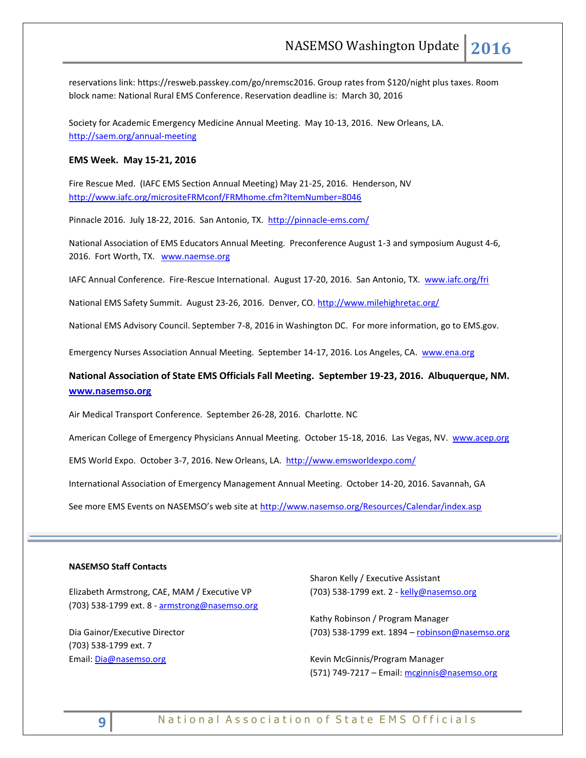reservations link: [https://resweb.passkey.com/go/nremsc2016.](https://resweb.passkey.com/go/nremsc2016) Group rates from \$120/night plus taxes. Room block name: National Rural EMS Conference. Reservation deadline is: March 30, 2016

Society for Academic Emergency Medicine Annual Meeting. May 10-13, 2016. New Orleans, LA. <http://saem.org/annual-meeting>

#### **EMS Week. May 15-21, 2016**

Fire Rescue Med. (IAFC EMS Section Annual Meeting) May 21-25, 2016. Henderson, NV <http://www.iafc.org/micrositeFRMconf/FRMhome.cfm?ItemNumber=8046>

Pinnacle 2016. July 18-22, 2016. San Antonio, TX. <http://pinnacle-ems.com/>

National Association of EMS Educators Annual Meeting. Preconference August 1-3 and symposium August 4-6, 2016. Fort Worth, TX. [www.naemse.org](http://www.naemse.org/)

IAFC Annual Conference. Fire-Rescue International. August 17-20, 2016. San Antonio, TX. [www.iafc.org/fri](http://www.iafc.org/fri?utm_source=IAFC_Site&utm_medium=Conferences_Page&utm_campaign=FRI_Conference_Page_Visitors)

National EMS Safety Summit. August 23-26, 2016. Denver, CO.<http://www.milehighretac.org/>

National EMS Advisory Council. September 7-8, 2016 in Washington DC. For more information, go to EMS.gov.

Emergency Nurses Association Annual Meeting. September 14-17, 2016. Los Angeles, CA. [www.ena.org](http://www.ena.org/) 

## **National Association of State EMS Officials Fall Meeting. September 19-23, 2016. Albuquerque, NM. [www.nasemso.org](http://www.nasemso.org/)**

Air Medical Transport Conference. September 26-28, 2016. Charlotte. NC

American College of Emergency Physicians Annual Meeting. October 15-18, 2016. Las Vegas, NV. [www.acep.org](http://www.acep.org/)

EMS World Expo. October 3-7, 2016. New Orleans, LA. <http://www.emsworldexpo.com/>

International Association of Emergency Management Annual Meeting. October 14-20, 2016. Savannah, GA

See more EMS Events on NASEMSO's web site at <http://www.nasemso.org/Resources/Calendar/index.asp>

#### **NASEMSO Staff Contacts**

Elizabeth Armstrong, CAE, MAM / Executive VP (703) 538-1799 ext. 8 - [armstrong@nasemso.org](mailto:armstrong@nasemso.org)

Dia Gainor/Executive Director (703) 538-1799 ext. 7 Email: [Dia@nasemso.org](mailto:Dia@nasemso.org)

Sharon Kelly / Executive Assistant (703) 538-1799 ext. 2 - [kelly@nasemso.org](mailto:kelly@nasemso.org)

Kathy Robinson / Program Manager (703) 538-1799 ext. 1894 - [robinson@nasemso.org](mailto:robinson@nasemso.org)

Kevin McGinnis/Program Manager (571) 749-7217 - Email: [mcginnis@nasemso.org](mailto:mcginnis@nasemso.org)